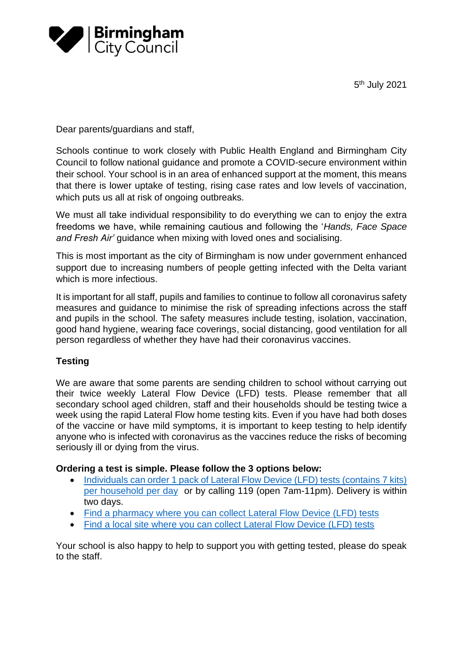5<sup>th</sup> July 2021



Dear parents/guardians and staff,

Schools continue to work closely with Public Health England and Birmingham City Council to follow national guidance and promote a COVID-secure environment within their school. Your school is in an area of enhanced support at the moment, this means that there is lower uptake of testing, rising case rates and low levels of vaccination, which puts us all at risk of ongoing outbreaks.

We must all take individual responsibility to do everything we can to enjoy the extra freedoms we have, while remaining cautious and following the '*Hands, Face Space and Fresh Air'* guidance when mixing with loved ones and socialising.

This is most important as the city of Birmingham is now under government enhanced support due to increasing numbers of people getting infected with the Delta variant which is more infectious.

It is important for all staff, pupils and families to continue to follow all coronavirus safety measures and guidance to minimise the risk of spreading infections across the staff and pupils in the school. The safety measures include testing, isolation, vaccination, good hand hygiene, wearing face coverings, social distancing, good ventilation for all person regardless of whether they have had their coronavirus vaccines.

# **Testing**

We are aware that some parents are sending children to school without carrying out their twice weekly Lateral Flow Device (LFD) tests. Please remember that all secondary school aged children, staff and their households should be testing twice a week using the rapid Lateral Flow home testing kits. Even if you have had both doses of the vaccine or have mild symptoms, it is important to keep testing to help identify anyone who is infected with coronavirus as the vaccines reduce the risks of becoming seriously ill or dying from the virus.

### **Ordering a test is simple. Please follow the 3 options below:**

- [Individuals can order 1 pack of Lateral Flow Device \(LFD\) tests \(contains 7 kits\)](https://www.gov.uk/order-coronavirus-rapid-lateral-flow-tests)  [per household per day](https://www.gov.uk/order-coronavirus-rapid-lateral-flow-tests) or by calling 119 (open 7am-11pm). Delivery is within two days.
- [Find a pharmacy where you can collect](https://maps.test-and-trace.nhs.uk/) Lateral Flow Device (LFD) tests
- [Find a local site where you can collect](https://maps.test-and-trace.nhs.uk/) Lateral Flow Device (LFD) tests

Your school is also happy to help to support you with getting tested, please do speak to the staff.